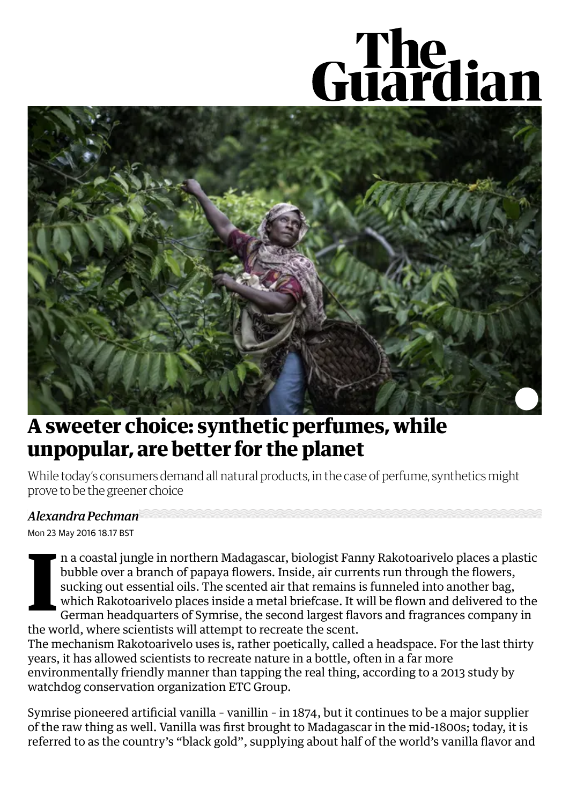## Guardian



## **A sweeter choice: synthetic perfumes, while [unpopular,](https://www.theguardian.com/sustainable-business/2016/may/23/perfume-synthetic-sustainability-vanilla-madagascar) are better for the planet**

While today's consumers demand all natural products, in the case of perfume, synthetics might prove to be the greener choice

## *Alexandra Pechman*

Mon 23 May 2016 18.17 BST

**I** n a coastal jungle in northern Madagascar, biologist Fanny Rakotoarivelo places a plastic bubble over a branch of papaya flowers. Inside, air currents run through the flowers, sucking out essential oils. The scented air that remains is funneled into another bag, which Rakotoarivelo places inside a metal briefcase. It will be flown and delivered to the German headquarters of Symrise, the second largest flavors and fragrances company in the world, where scientists will attempt to recreate the scent.

The mechanism Rakotoarivelo uses is, rather poetically, called a headspace. For the last thirty years, it has allowed scientists to recreate nature in a bottle, often in a far more [environmentally](http://www.etcgroup.org/content/case-study-vanilla) friendly manner than tapping the real thing, according to a 2013 study by watchdog conservation organization ETC Group.

Symrise pioneered artificial vanilla – vanillin – in 1874, but it continues to be a major supplier of the raw thing as well. Vanilla was first brought to Madagascar in the mid-1800s; today, it is referred to as the country's "black gold", supplying about half of the world's vanilla flavor and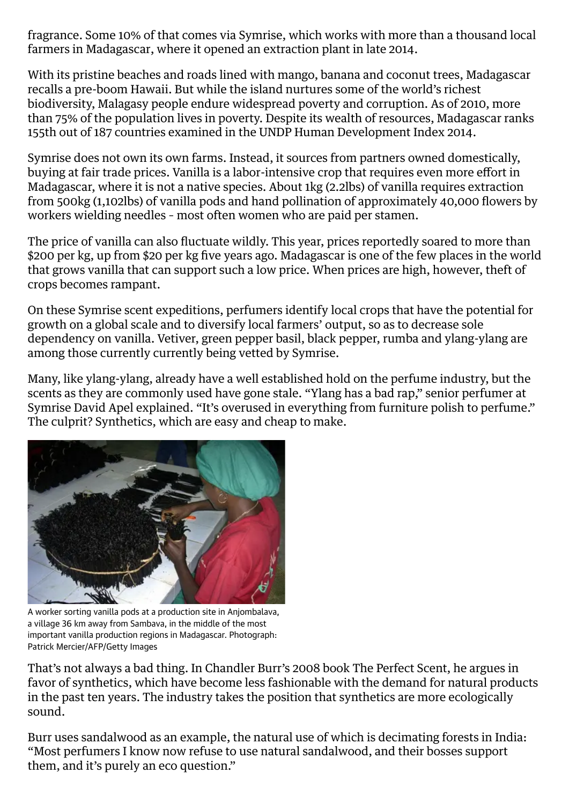fragrance. Some 10% of that comes via Symrise, which works with more than a thousand local farmers in [Madagascar](https://www.theguardian.com/world/madagascar), where it opened an extraction plant in late 2014.

With its pristine beaches and roads lined with mango, banana and coconut trees, Madagascar recalls a pre-boom Hawaii. But while the island nurtures some of the world's richest biodiversity, Malagasy people endure widespread poverty and corruption. As of 2010, more than 75% of the population lives in poverty. Despite its wealth of resources, Madagascar ranks 155th out of 187 countries examined in the UNDP Human [Development](http://hdr.undp.org/en/composite/HDI) Index 2014.

Symrise does not own its own farms. Instead, it sources from partners owned domestically, buying at fair trade prices. Vanilla is a labor-intensive crop that requires even more effort in Madagascar, where it is not a native species. About 1kg (2.2lbs) of vanilla requires extraction from 500kg (1,102lbs) of vanilla pods and hand pollination of approximately 40,000 flowers by workers wielding needles – most often women who are paid per stamen.

The price of vanilla can also fluctuate wildly. This year, prices reportedly soared to more than \$200 per kg, up from \$20 per kg five years ago. Madagascar is one of the few places in the world that grows vanilla that can support such a low price. When prices are high, however, theft of crops becomes rampant.

On these Symrise scent expeditions, perfumers identify local crops that have the potential for growth on a global scale and to diversify local farmers' output, so as to decrease sole dependency on vanilla. Vetiver, green pepper basil, black pepper, rumba and ylang-ylang are among those currently currently being vetted by Symrise.

Many, like ylang-ylang, already have a well established hold on the perfume industry, but the scents as they are commonly used have gone stale. "Ylang has a bad rap," senior perfumer at Symrise David Apel explained. "It's overused in everything from furniture polish to perfume." The culprit? Synthetics, which are easy and cheap to make.



A worker sorting vanilla pods at a production site in Anjombalava, a village 36 km away from Sambava, in the middle of the most important vanilla production regions in Madagascar. Photograph: Patrick Mercier/AFP/Getty Images

That's not always a bad thing. In Chandler Burr's 2008 book The Perfect Scent, he argues in favor of synthetics, which have become less fashionable with the demand for natural products in the past ten years. The industry takes the position that synthetics are more ecologically sound.

Burr uses sandalwood as an example, the natural use of which is decimating forests in India: "Most perfumers I know now refuse to use natural sandalwood, and their bosses support them, and it's purely an eco question."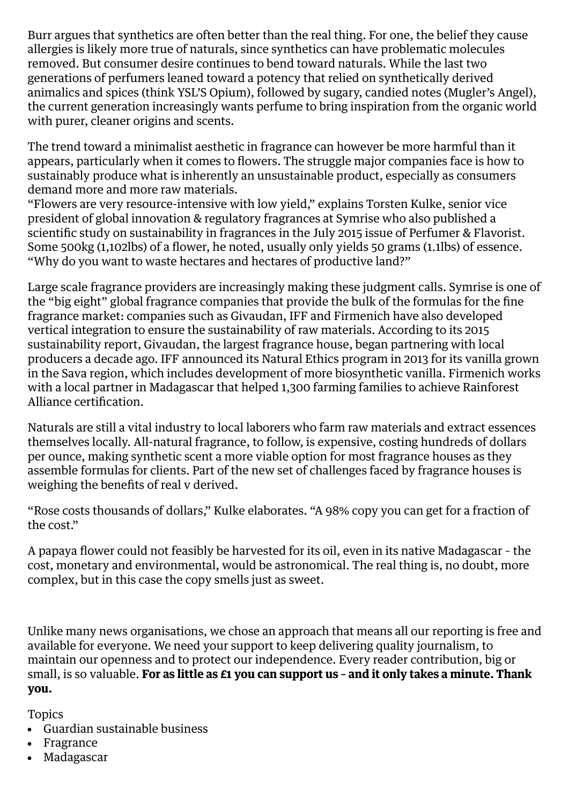Burr argues that synthetics are often better than the real thing. For one, the belief they cause allergies is likely more true of naturals, since synthetics can have problematic molecules removed. But consumer desire continues to bend toward naturals. While the last two generations of perfumers leaned toward a potency that relied on synthetically derived animalics and spices (think YSL'S Opium), followed by sugary, candied notes (Mugler's Angel), the current generation increasingly wants perfume to bring inspiration from the organic world with purer, cleaner origins and scents.

The trend toward a minimalist aesthetic in fragrance can however be more harmful than it appears, particularly when it comes to flowers. The struggle major companies face is how to sustainably produce what is inherently an unsustainable product, especially as consumers demand more and more raw materials.

"Flowers are very resource-intensive with low yield," explains Torsten Kulke, senior vice president of global innovation & regulatory fragrances at Symrise who also published a scientific study on sustainability in fragrances in the July 2015 issue of Perfumer & Flavorist. Some 500kg (1,102lbs) of a flower, he noted, usually only yields 50 grams (1.1lbs) of essence. "Why do you want to waste hectares and hectares of productive land?"

Large scale fragrance providers are increasingly making these judgment calls. Symrise is one of the "big eight" global fragrance companies that provide the bulk of the formulas for the fine fragrance market: companies such as Givaudan, IFF and Firmenich have also developed vertical integration to ensure the sustainability of raw materials. According to its 2015 sustainability report, Givaudan, the largest fragrance house, began partnering with local producers a decade ago. IFF announced its Natural Ethics program in 2013 for its vanilla grown in the Sava region, which includes development of more biosynthetic vanilla. Firmenich works with a local partner in Madagascar that helped 1,300 farming families to achieve Rainforest Alliance certification.

Naturals are still a vital industry to local laborers who farm raw materials and extract essences themselves locally. All-natural fragrance, to follow, is expensive, costing hundreds of dollars per ounce, making synthetic scent a more viable option for most fragrance houses as they assemble formulas for clients. Part of the new set of challenges faced by fragrance houses is weighing the benefits of real v derived.

"Rose costs thousands of dollars," Kulke elaborates. "A 98% copy you can get for a fraction of the cost."

A papaya flower could not feasibly be harvested for its oil, even in its native Madagascar – the cost, monetary and environmental, would be astronomical. The real thing is, no doubt, more complex, but in this case the copy smells just as sweet.

Unlike many news organisations, we chose an approach that means all our reporting is free and available for everyone. We need your support to keep delivering quality journalism, to maintain our openness and to protect our independence. Every reader contribution, big or small, is so valuable. **For as little as £1 you can support us – and it only takes a minute. Thank you.**

Topics

- Guardian [sustainable](https://www.theguardian.com/uk/sustainable-business) business
- [Fragrance](https://www.theguardian.com/fashion/fragrance)
- [Madagascar](https://www.theguardian.com/world/madagascar) $\bullet$